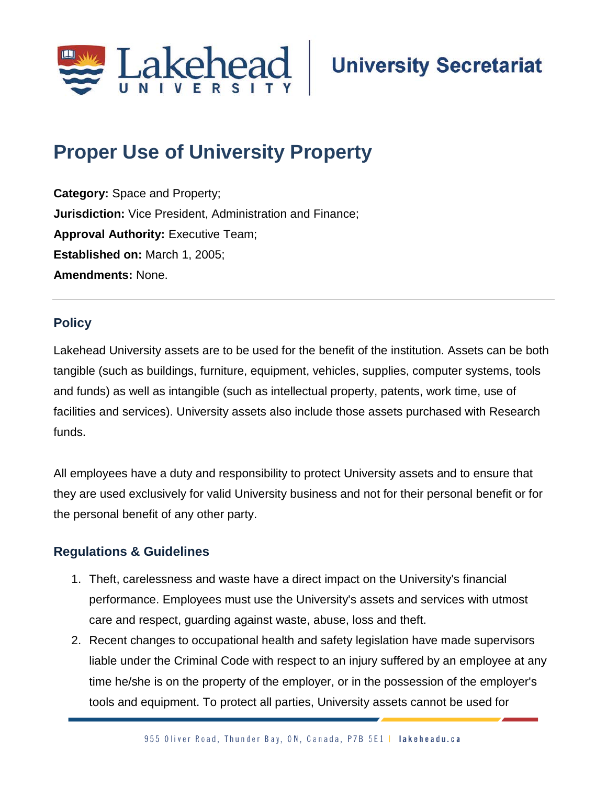

# **Proper Use of University Property;**

**Category:** Space and Property; **Jurisdiction:** Vice President, Administration and Finance; **Approval Authority: Executive Team; Established on:** March 1, 2005; **Amendments:** None.

## **Policy**

Lakehead University assets are to be used for the benefit of the institution. Assets can be both tangible (such as buildings, furniture, equipment, vehicles, supplies, computer systems, tools and funds) as well as intangible (such as intellectual property, patents, work time, use of facilities and services). University assets also include those assets purchased with Research funds.

All employees have a duty and responsibility to protect University assets and to ensure that they are used exclusively for valid University business and not for their personal benefit or for the personal benefit of any other party.

# **Regulations & Guidelines**

- 1. Theft, carelessness and waste have a direct impact on the University's financial performance. Employees must use the University's assets and services with utmost care and respect, guarding against waste, abuse, loss and theft.
- 2. Recent changes to occupational health and safety legislation have made supervisors liable under the Criminal Code with respect to an injury suffered by an employee at any time he/she is on the property of the employer, or in the possession of the employer's tools and equipment. To protect all parties, University assets cannot be used for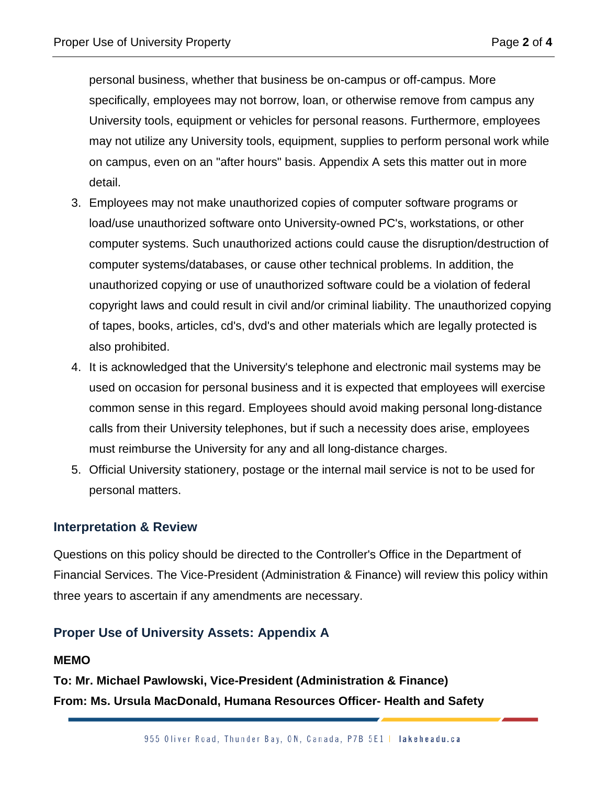personal business, whether that business be on-campus or off-campus. More specifically, employees may not borrow, loan, or otherwise remove from campus any University tools, equipment or vehicles for personal reasons. Furthermore, employees may not utilize any University tools, equipment, supplies to perform personal work while on campus, even on an "after hours" basis. Appendix A sets this matter out in more detail.

- 3. Employees may not make unauthorized copies of computer software programs or load/use unauthorized software onto University-owned PC's, workstations, or other computer systems. Such unauthorized actions could cause the disruption/destruction of computer systems/databases, or cause other technical problems. In addition, the unauthorized copying or use of unauthorized software could be a violation of federal copyright laws and could result in civil and/or criminal liability. The unauthorized copying of tapes, books, articles, cd's, dvd's and other materials which are legally protected is also prohibited.
- 4. It is acknowledged that the University's telephone and electronic mail systems may be used on occasion for personal business and it is expected that employees will exercise common sense in this regard. Employees should avoid making personal long-distance calls from their University telephones, but if such a necessity does arise, employees must reimburse the University for any and all long-distance charges.
- 5. Official University stationery, postage or the internal mail service is not to be used for personal matters.

#### **Interpretation & Review**

Questions on this policy should be directed to the Controller's Office in the Department of Financial Services. The Vice-President (Administration & Finance) will review this policy within three years to ascertain if any amendments are necessary.

### **Proper Use of University Assets: Appendix A**

#### **MEMO**

**To: Mr. Michael Pawlowski, Vice-President (Administration & Finance) From: Ms. Ursula MacDonald, Humana Resources Officer- Health and Safety**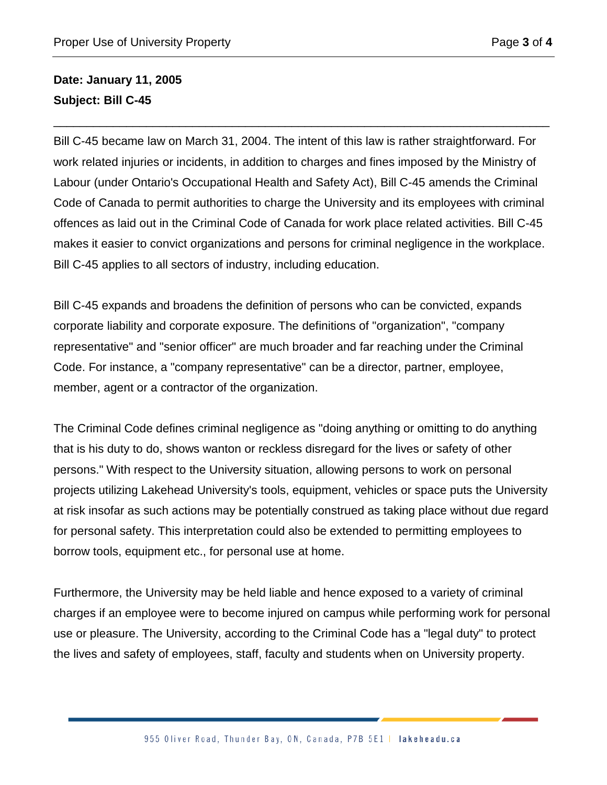# **Date: January 11, 2005 Subject: Bill C-45**

Bill C-45 became law on March 31, 2004. The intent of this law is rather straightforward. For work related injuries or incidents, in addition to charges and fines imposed by the Ministry of Labour (under Ontario's Occupational Health and Safety Act), Bill C-45 amends the Criminal Code of Canada to permit authorities to charge the University and its employees with criminal offences as laid out in the Criminal Code of Canada for work place related activities. Bill C-45 makes it easier to convict organizations and persons for criminal negligence in the workplace. Bill C-45 applies to all sectors of industry, including education.

\_\_\_\_\_\_\_\_\_\_\_\_\_\_\_\_\_\_\_\_\_\_\_\_\_\_\_\_\_\_\_\_\_\_\_\_\_\_\_\_\_\_\_\_\_\_\_\_\_\_\_\_\_\_\_\_\_\_\_\_\_\_\_\_\_\_\_\_\_\_\_\_\_\_\_

Bill C-45 expands and broadens the definition of persons who can be convicted, expands corporate liability and corporate exposure. The definitions of "organization", "company representative" and "senior officer" are much broader and far reaching under the Criminal Code. For instance, a "company representative" can be a director, partner, employee, member, agent or a contractor of the organization.

The Criminal Code defines criminal negligence as "doing anything or omitting to do anything that is his duty to do, shows wanton or reckless disregard for the lives or safety of other persons." With respect to the University situation, allowing persons to work on personal projects utilizing Lakehead University's tools, equipment, vehicles or space puts the University at risk insofar as such actions may be potentially construed as taking place without due regard for personal safety. This interpretation could also be extended to permitting employees to borrow tools, equipment etc., for personal use at home.

Furthermore, the University may be held liable and hence exposed to a variety of criminal charges if an employee were to become injured on campus while performing work for personal use or pleasure. The University, according to the Criminal Code has a "legal duty" to protect the lives and safety of employees, staff, faculty and students when on University property.